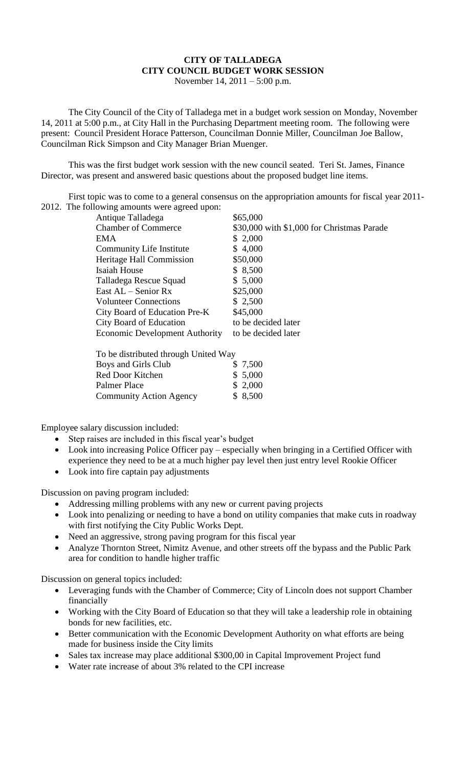## **CITY OF TALLADEGA CITY COUNCIL BUDGET WORK SESSION**

November 14, 2011 – 5:00 p.m.

The City Council of the City of Talladega met in a budget work session on Monday, November 14, 2011 at 5:00 p.m., at City Hall in the Purchasing Department meeting room. The following were present: Council President Horace Patterson, Councilman Donnie Miller, Councilman Joe Ballow, Councilman Rick Simpson and City Manager Brian Muenger.

This was the first budget work session with the new council seated. Teri St. James, Finance Director, was present and answered basic questions about the proposed budget line items.

First topic was to come to a general consensus on the appropriation amounts for fiscal year 2011- 2012. The following amounts were agreed upon:

| Antique Talladega                     | \$65,000                                   |
|---------------------------------------|--------------------------------------------|
| <b>Chamber of Commerce</b>            | \$30,000 with \$1,000 for Christmas Parade |
| EMA                                   | \$2,000                                    |
| Community Life Institute              | \$4,000                                    |
| Heritage Hall Commission              | \$50,000                                   |
| Isaiah House                          | \$ 8,500                                   |
| Talladega Rescue Squad                | \$5,000                                    |
| East $AL -$ Senior Rx                 | \$25,000                                   |
| <b>Volunteer Connections</b>          | \$2,500                                    |
| City Board of Education Pre-K         | \$45,000                                   |
| City Board of Education               | to be decided later                        |
| <b>Economic Development Authority</b> | to be decided later                        |
|                                       |                                            |
|                                       |                                            |

| To be distributed through United Way |  |          |  |
|--------------------------------------|--|----------|--|
| Boys and Girls Club                  |  | \$ 7,500 |  |
| Red Door Kitchen                     |  | \$5,000  |  |
| Palmer Place                         |  | \$2,000  |  |
| <b>Community Action Agency</b>       |  | \$8,500  |  |

Employee salary discussion included:

- Step raises are included in this fiscal year's budget
- Look into increasing Police Officer pay especially when bringing in a Certified Officer with experience they need to be at a much higher pay level then just entry level Rookie Officer
- Look into fire captain pay adjustments

Discussion on paving program included:

- Addressing milling problems with any new or current paving projects
- Look into penalizing or needing to have a bond on utility companies that make cuts in roadway with first notifying the City Public Works Dept.
- Need an aggressive, strong paving program for this fiscal year
- Analyze Thornton Street, Nimitz Avenue, and other streets off the bypass and the Public Park area for condition to handle higher traffic

Discussion on general topics included:

- Leveraging funds with the Chamber of Commerce; City of Lincoln does not support Chamber financially
- Working with the City Board of Education so that they will take a leadership role in obtaining bonds for new facilities, etc.
- Better communication with the Economic Development Authority on what efforts are being made for business inside the City limits
- Sales tax increase may place additional \$300,00 in Capital Improvement Project fund
- Water rate increase of about 3% related to the CPI increase